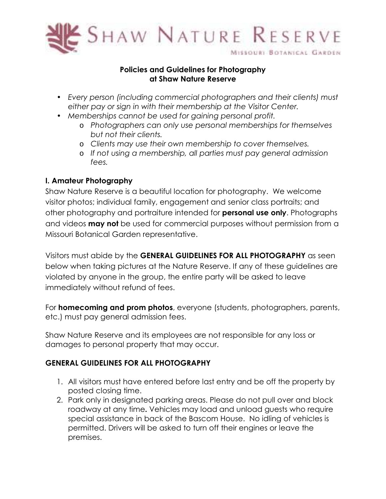

## **Policies and Guidelines for Photography at Shaw Nature Reserve**

- *Every person (including commercial photographers and their clients) must either pay or sign in with their membership at the Visitor Center.*
- *Memberships cannot be used for gaining personal profit.* 
	- o *Photographers can only use personal memberships for themselves but not their clients.*
	- o *Clients may use their own membership to cover themselves.*
	- o *If not using a membership, all parties must pay general admission fees.*

## **I. Amateur Photography**

Shaw Nature Reserve is a beautiful location for photography. We welcome visitor photos; individual family, engagement and senior class portraits; and other photography and portraiture intended for **personal use only**. Photographs and videos **may not** be used for commercial purposes without permission from a Missouri Botanical Garden representative.

Visitors must abide by the **GENERAL GUIDELINES FOR ALL PHOTOGRAPHY** as seen below when taking pictures at the Nature Reserve. If any of these guidelines are violated by anyone in the group, the entire party will be asked to leave immediately without refund of fees.

For **homecoming and prom photos**, everyone (students, photographers, parents, etc.) must pay general admission fees.

Shaw Nature Reserve and its employees are not responsible for any loss or damages to personal property that may occur.

## **GENERAL GUIDELINES FOR ALL PHOTOGRAPHY**

- 1. All visitors must have entered before last entry and be off the property by posted closing time.
- 2. Park only in designated parking areas. Please do not pull over and block roadway at any time**.** Vehicles may load and unload guests who require special assistance in back of the Bascom House. No idling of vehicles is permitted. Drivers will be asked to turn off their engines or leave the premises.